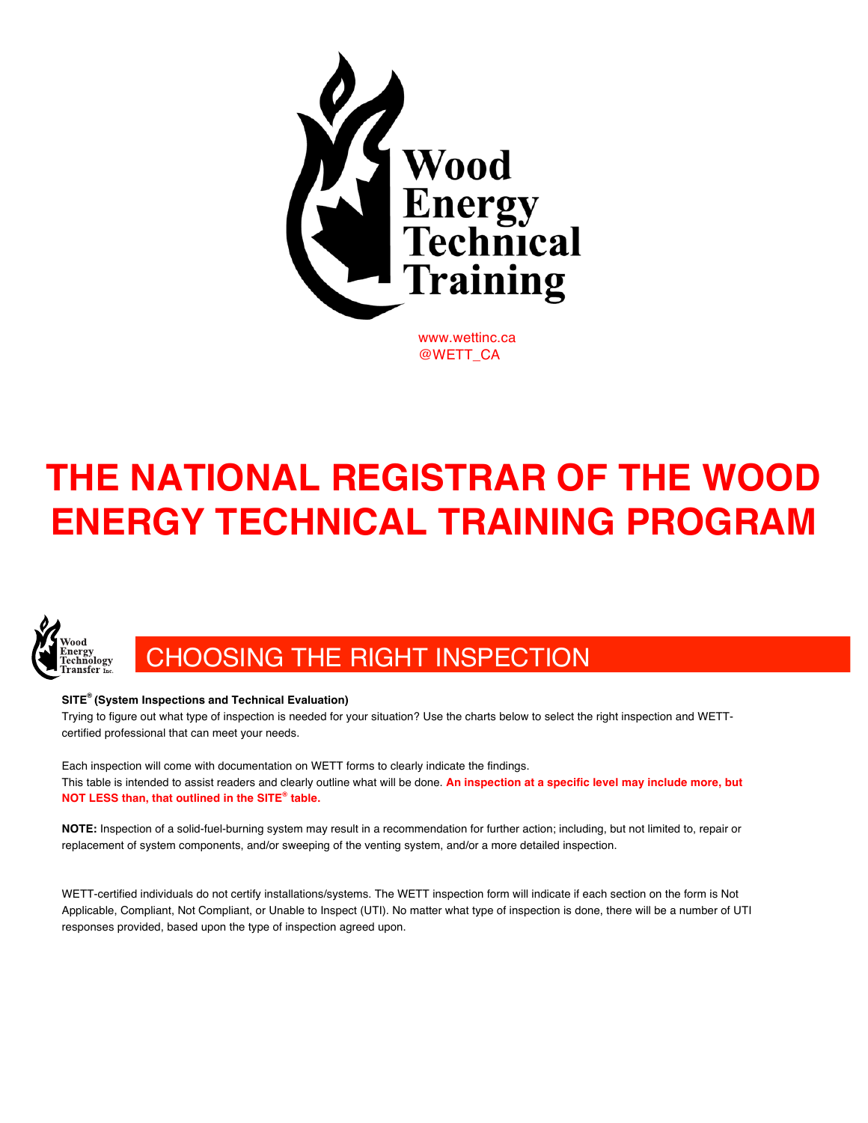

@WETT\_CA

## **THE NATIONAL REGISTRAR OF THE WOOD ENERGY TECHNICAL TRAINING PROGRAM**



## CHOOSING THE RIGHT INSPECTION

## **SITE® (System Inspections and Technical Evaluation)**

Trying to figure out what type of inspection is needed for your situation? Use the charts below to select the right inspection and WETTcertified professional that can meet your needs.

Each inspection will come with documentation on WETT forms to clearly indicate the findings. This table is intended to assist readers and clearly outline what will be done. **An inspection at a specific level may include more, but NOT LESS than, that outlined in the SITE® table.**

**NOTE:** Inspection of a solid-fuel-burning system may result in a recommendation for further action; including, but not limited to, repair or replacement of system components, and/or sweeping of the venting system, and/or a more detailed inspection.

WETT-certified individuals do not certify installations/systems. The WETT inspection form will indicate if each section on the form is Not Applicable, Compliant, Not Compliant, or Unable to Inspect (UTI). No matter what type of inspection is done, there will be a number of UTI responses provided, based upon the type of inspection agreed upon.